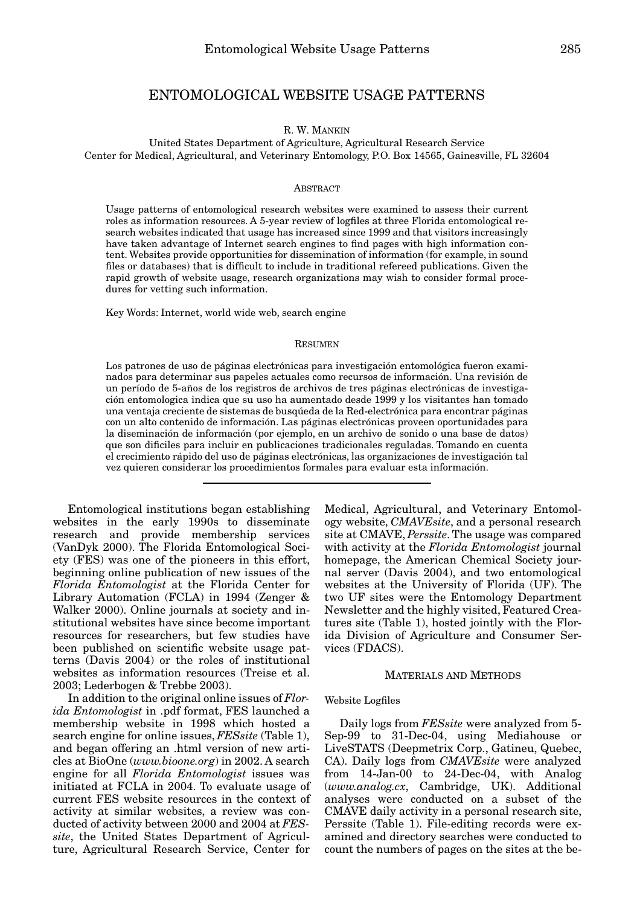# ENTOMOLOGICAL WEBSITE USAGE PATTERNS

## R. W. MANKIN

United States Department of Agriculture, Agricultural Research Service Center for Medical, Agricultural, and Veterinary Entomology, P.O. Box 14565, Gainesville, FL 32604

## ABSTRACT

Usage patterns of entomological research websites were examined to assess their current roles as information resources. A 5-year review of logfiles at three Florida entomological research websites indicated that usage has increased since 1999 and that visitors increasingly have taken advantage of Internet search engines to find pages with high information content. Websites provide opportunities for dissemination of information (for example, in sound files or databases) that is difficult to include in traditional refereed publications. Given the rapid growth of website usage, research organizations may wish to consider formal procedures for vetting such information.

Key Words: Internet, world wide web, search engine

#### **RESUMEN**

Los patrones de uso de páginas electrónicas para investigación entomológica fueron examinados para determinar sus papeles actuales como recursos de información. Una revisión de un período de 5-años de los registros de archivos de tres páginas electrónicas de investigación entomologica indica que su uso ha aumentado desde 1999 y los visitantes han tomado una ventaja creciente de sistemas de busqúeda de la Red-electrónica para encontrar páginas con un alto contenido de información. Las páginas electrónicas proveen oportunidades para la diseminación de información (por ejemplo, en un archivo de sonido o una base de datos) que son dificiles para incluir en publicaciones tradicionales reguladas. Tomando en cuenta el crecimiento rápido del uso de páginas electrónicas, las organizaciones de investigación tal vez quieren considerar los procedimientos formales para evaluar esta información.

Entomological institutions began establishing websites in the early 1990s to disseminate research and provide membership services (VanDyk 2000). The Florida Entomological Society (FES) was one of the pioneers in this effort, beginning online publication of new issues of the *Florida Entomologist* at the Florida Center for Library Automation (FCLA) in 1994 (Zenger & Walker 2000). Online journals at society and institutional websites have since become important resources for researchers, but few studies have been published on scientific website usage patterns (Davis 2004) or the roles of institutional websites as information resources (Treise et al. 2003; Lederbogen & Trebbe 2003).

In addition to the original online issues of *Florida Entomologist* in .pdf format, FES launched a membership website in 1998 which hosted a search engine for online issues, *FESsite* (Table 1), and began offering an .html version of new articles at BioOne (*www.bioone.org*) in 2002. A search engine for all *Florida Entomologist* issues was initiated at FCLA in 2004. To evaluate usage of current FES website resources in the context of activity at similar websites, a review was conducted of activity between 2000 and 2004 at *FESsite*, the United States Department of Agriculture, Agricultural Research Service, Center for

Medical, Agricultural, and Veterinary Entomology website, *CMAVEsite*, and a personal research site at CMAVE, *Perssite*. The usage was compared with activity at the *Florida Entomologist* journal homepage, the American Chemical Society journal server (Davis 2004), and two entomological websites at the University of Florida (UF). The two UF sites were the Entomology Department Newsletter and the highly visited, Featured Creatures site (Table 1), hosted jointly with the Florida Division of Agriculture and Consumer Services (FDACS).

## MATERIALS AND METHODS

## Website Logfiles

Daily logs from *FESsite* were analyzed from 5- Sep-99 to 31-Dec-04, using Mediahouse or LiveSTATS (Deepmetrix Corp., Gatineu, Quebec, CA). Daily logs from *CMAVEsite* were analyzed from 14-Jan-00 to 24-Dec-04, with Analog (*www.analog.cx*, Cambridge, UK). Additional analyses were conducted on a subset of the CMAVE daily activity in a personal research site, Perssite (Table 1). File-editing records were examined and directory searches were conducted to count the numbers of pages on the sites at the be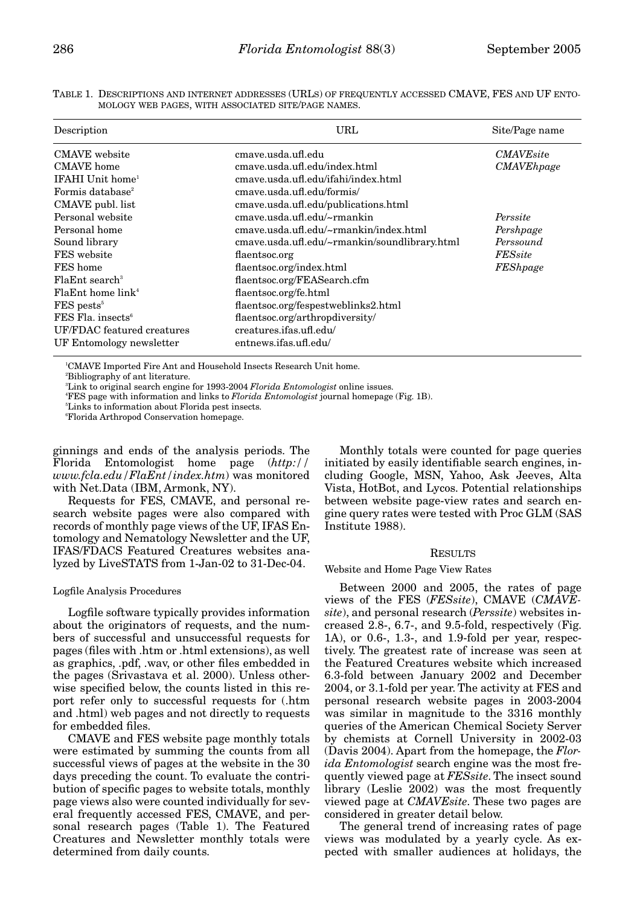TABLE 1. DESCRIPTIONS AND INTERNET ADDRESSES (URLS) OF FREQUENTLY ACCESSED CMAVE, FES AND UF ENTO-MOLOGY WEB PAGES, WITH ASSOCIATED SITE/PAGE NAMES.

| Description                   | URL                                           | Site/Page name    |
|-------------------------------|-----------------------------------------------|-------------------|
| CMAVE website                 | cmave.usda.ufl.edu                            | <b>CMAVE</b> site |
| <b>CMAVE</b> home             | cmave.usda.ufl.edu/index.html                 | <b>CMAVEhpage</b> |
| IFAHI Unit home <sup>1</sup>  | cmave.usda.ufl.edu/ifahi/index.html           |                   |
| Formis database <sup>2</sup>  | cmave.usda.ufl.edu/formis/                    |                   |
| CMAVE publ. list              | cmave.usda.ufl.edu/publications.html          |                   |
| Personal website              | cmave.usda.ufl.edu/~rmankin                   | Perssite          |
| Personal home                 | cmave.usda.ufl.edu/~rmankin/index.html        | Pershpage         |
| Sound library                 | cmave.usda.ufl.edu/~rmankin/soundlibrary.html | Perssound         |
| FES website                   | flaentsoc.org                                 | <b>FESsite</b>    |
| FES home                      | flaentsoc.org/index.html                      | FEShpage          |
| $F1aEnt$ search <sup>3</sup>  | flaentsoc.org/FEASearch.cfm                   |                   |
| FlaEnt home link <sup>4</sup> | flaentsoc.org/fe.html                         |                   |
| $FES$ pests <sup>5</sup>      | flaentsoc.org/fespestweblinks2.html           |                   |
| FES Fla. insects <sup>6</sup> | flaentsoc.org/arthropdiversity/               |                   |
| UF/FDAC featured creatures    | creatures.ifas.ufl.edu/                       |                   |
| UF Entomology newsletter      | entnews.ifas.ufl.edu/                         |                   |

1 CMAVE Imported Fire Ant and Household Insects Research Unit home.

2 Bibliography of ant literature.

3 Link to original search engine for 1993-2004 *Florida Entomologist* online issues.

4 FES page with information and links to *Florida Entomologist* journal homepage (Fig. 1B).

5 Links to information about Florida pest insects.

6 Florida Arthropod Conservation homepage.

ginnings and ends of the analysis periods. The Florida Entomologist home page (*http:// www.fcla.edu/FlaEnt/index.htm*) was monitored with Net.Data (IBM, Armonk, NY).

Requests for FES, CMAVE, and personal research website pages were also compared with records of monthly page views of the UF, IFAS Entomology and Nematology Newsletter and the UF, IFAS/FDACS Featured Creatures websites analyzed by LiveSTATS from 1-Jan-02 to 31-Dec-04.

#### Logfile Analysis Procedures

Logfile software typically provides information about the originators of requests, and the numbers of successful and unsuccessful requests for pages (files with .htm or .html extensions), as well as graphics, .pdf, .wav, or other files embedded in the pages (Srivastava et al. 2000). Unless otherwise specified below, the counts listed in this report refer only to successful requests for (.htm and .html) web pages and not directly to requests for embedded files.

CMAVE and FES website page monthly totals were estimated by summing the counts from all successful views of pages at the website in the 30 days preceding the count. To evaluate the contribution of specific pages to website totals, monthly page views also were counted individually for several frequently accessed FES, CMAVE, and personal research pages (Table 1). The Featured Creatures and Newsletter monthly totals were determined from daily counts.

Monthly totals were counted for page queries initiated by easily identifiable search engines, including Google, MSN, Yahoo, Ask Jeeves, Alta Vista, HotBot, and Lycos. Potential relationships between website page-view rates and search engine query rates were tested with Proc GLM (SAS Institute 1988).

## **RESULTS**

#### Website and Home Page View Rates

Between 2000 and 2005, the rates of page views of the FES (*FESsite*), CMAVE (*CMAVEsite*), and personal research (*Perssite*) websites increased 2.8-, 6.7-, and 9.5-fold, respectively (Fig. 1A), or 0.6-, 1.3-, and 1.9-fold per year, respectively. The greatest rate of increase was seen at the Featured Creatures website which increased 6.3-fold between January 2002 and December 2004, or 3.1-fold per year. The activity at FES and personal research website pages in 2003-2004 was similar in magnitude to the 3316 monthly queries of the American Chemical Society Server by chemists at Cornell University in 2002-03 (Davis 2004). Apart from the homepage, the *Florida Entomologist* search engine was the most frequently viewed page at *FESsite*. The insect sound library (Leslie 2002) was the most frequently viewed page at *CMAVEsite*. These two pages are considered in greater detail below.

The general trend of increasing rates of page views was modulated by a yearly cycle. As expected with smaller audiences at holidays, the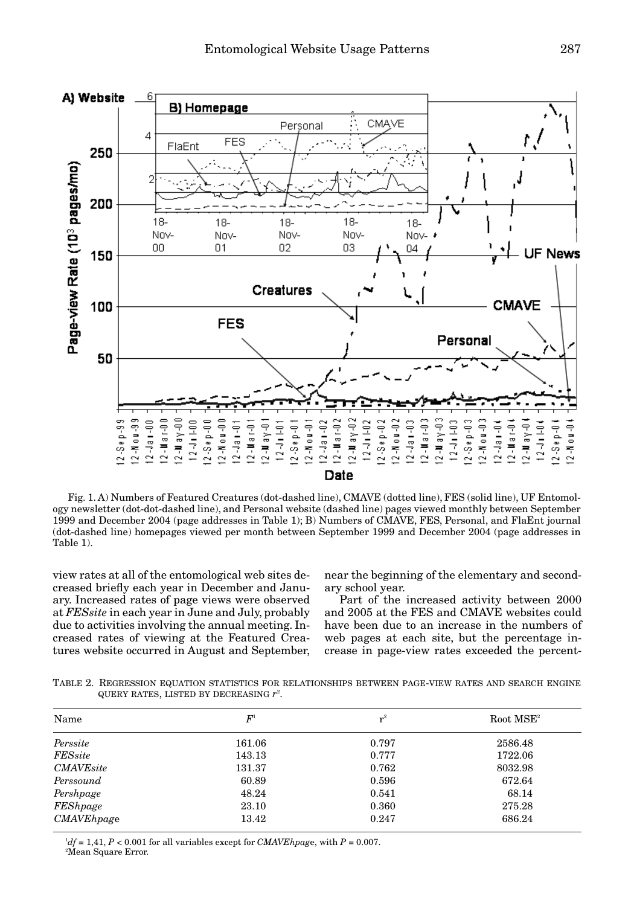

Fig. 1. A) Numbers of Featured Creatures (dot-dashed line), CMAVE (dotted line), FES (solid line), UF Entomology newsletter (dot-dot-dashed line), and Personal website (dashed line) pages viewed monthly between September 1999 and December 2004 (page addresses in Table 1); B) Numbers of CMAVE, FES, Personal, and FlaEnt journal (dot-dashed line) homepages viewed per month between September 1999 and December 2004 (page addresses in Table 1).

view rates at all of the entomological web sites decreased briefly each year in December and January. Increased rates of page views were observed at *FESsite* in each year in June and July, probably due to activities involving the annual meeting. Increased rates of viewing at the Featured Creatures website occurred in August and September,

near the beginning of the elementary and secondary school year.

Part of the increased activity between 2000 and 2005 at the FES and CMAVE websites could have been due to an increase in the numbers of web pages at each site, but the percentage increase in page-view rates exceeded the percent-

TABLE 2. REGRESSION EQUATION STATISTICS FOR RELATIONSHIPS BETWEEN PAGE-VIEW RATES AND SEARCH ENGINE QUERY RATES, LISTED BY DECREASING *r*<sup>2</sup> .

| Name              | $F^{\scriptscriptstyle 1}$ | $r^2$ | $Root MSE^2$ |
|-------------------|----------------------------|-------|--------------|
| Perssite          | 161.06                     | 0.797 | 2586.48      |
| FESsite           | 143.13                     | 0.777 | 1722.06      |
| <b>CMAVE</b> site | 131.37                     | 0.762 | 8032.98      |
| Perssound         | 60.89                      | 0.596 | 672.64       |
| Pershpage         | 48.24                      | 0.541 | 68.14        |
| FEShpage          | 23.10                      | 0.360 | 275.28       |
| CMAVEhpage        | 13.42                      | 0.247 | 686.24       |

 $^{1}df = 1,41, P < 0.001$  for all variables except for *CMAVEhpage*, with  $P = 0.007$ . 2 Mean Square Error.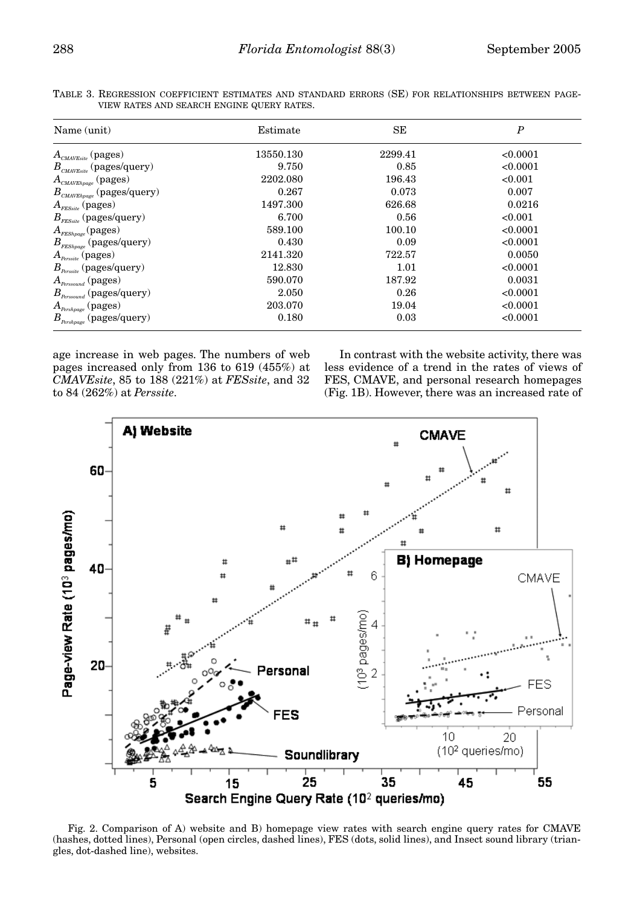| Name (unit)                                                           | Estimate  | SЕ      | $\boldsymbol{P}$ |
|-----------------------------------------------------------------------|-----------|---------|------------------|
| $A_{\textit{CMAVEsite}}$ (pages)                                      | 13550.130 | 2299.41 | < 0.0001         |
| $B_{\textit{\tiny{CMAVEsite}}}$ (pages/query)                         | 9.750     | 0.85    | < 0.0001         |
| $A_{\textit{\tiny{CMAVE}}}\textit{ (pages)}$                          | 2202.080  | 196.43  | < 0.001          |
| $B_{\textit{CMAVElpage}}$ (pages/query)                               | 0.267     | 0.073   | 0.007            |
| $A_{\rm \scriptscriptstyle FESsite}$ (pages)                          | 1497.300  | 626.68  | 0.0216           |
| $B_{\text{res}_{site}}$ (pages/query)                                 | 6.700     | 0.56    | < 0.001          |
| $A_{\it FEShpage}({\rm pages})$                                       | 589.100   | 100.10  | < 0.0001         |
| $B_{\textit{FEShpage}}$ (pages/query)                                 | 0.430     | 0.09    | < 0.0001         |
| $A_{\scriptscriptstyle\it{Perssite}}\,(\rm{pages})$                   | 2141.320  | 722.57  | 0.0050           |
| $B_{\text{Perssite}}$ (pages/query)                                   | 12.830    | 1.01    | < 0.0001         |
| $A_{\scriptscriptstyle \textit{Personal}}\left(\textit{pages}\right)$ | 590.070   | 187.92  | 0.0031           |
| $B_{\scriptscriptstyle Persound}$ (pages/query)                       | 2.050     | 0.26    | < 0.0001         |
| $A_{\scriptscriptstyle{Pershpage}}$ (pages)                           | 203.070   | 19.04   | < 0.0001         |
| $B_{\scriptscriptstyle{Pershpage}}$ (pages/query)                     | 0.180     | 0.03    | < 0.0001         |

TABLE 3. REGRESSION COEFFICIENT ESTIMATES AND STANDARD ERRORS (SE) FOR RELATIONSHIPS BETWEEN PAGE-VIEW RATES AND SEARCH ENGINE QUERY RATES.

age increase in web pages. The numbers of web pages increased only from 136 to 619 (455%) at *CMAVEsite*, 85 to 188 (221%) at *FESsite*, and 32 to 84 (262%) at *Perssite*.

In contrast with the website activity, there was less evidence of a trend in the rates of views of FES, CMAVE, and personal research homepages (Fig. 1B). However, there was an increased rate of



Fig. 2. Comparison of A) website and B) homepage view rates with search engine query rates for CMAVE (hashes, dotted lines), Personal (open circles, dashed lines), FES (dots, solid lines), and Insect sound library (triangles, dot-dashed line), websites.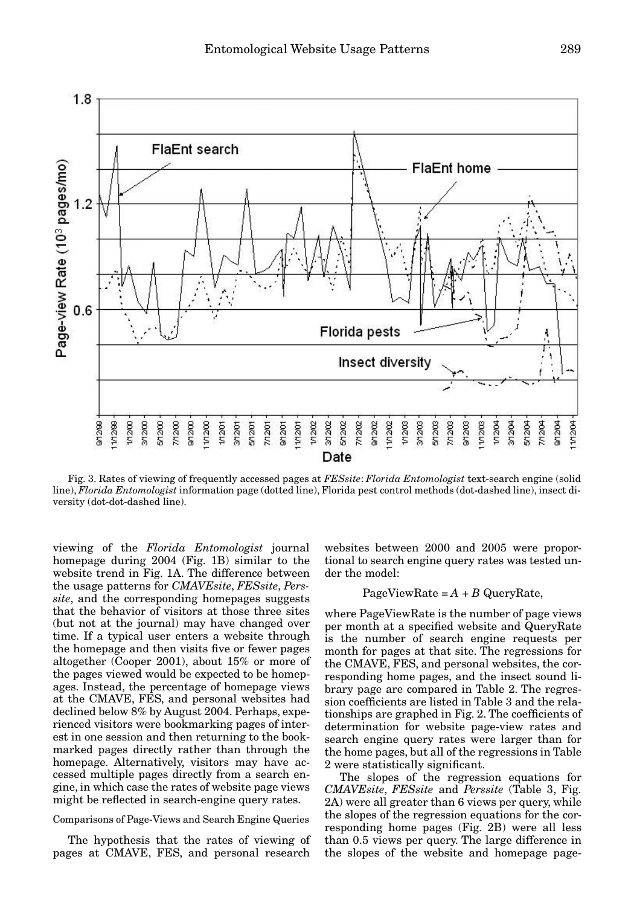

Fig. 3. Rates of viewing of frequently accessed pages at *FESsite*: *Florida Entomologist* text-search engine (solid line), *Florida Entomologist* information page (dotted line), Florida pest control methods (dot-dashed line), insect diversity (dot-dot-dashed line).

viewing of the *Florida Entomologist* journal homepage during 2004 (Fig. 1B) similar to the website trend in Fig. 1A. The difference between the usage patterns for *CMAVEsite*, *FESsite*, *Perssite*, and the corresponding homepages suggests that the behavior of visitors at those three sites (but not at the journal) may have changed over time. If a typical user enters a website through the homepage and then visits five or fewer pages altogether (Cooper 2001), about 15% or more of the pages viewed would be expected to be homepages. Instead, the percentage of homepage views at the CMAVE, FES, and personal websites had declined below 8% by August 2004. Perhaps, experienced visitors were bookmarking pages of interest in one session and then returning to the bookmarked pages directly rather than through the homepage. Alternatively, visitors may have accessed multiple pages directly from a search engine, in which case the rates of website page views might be reflected in search-engine query rates.

## Comparisons of Page-Views and Search Engine Queries

The hypothesis that the rates of viewing of pages at CMAVE, FES, and personal research

websites between 2000 and 2005 were proportional to search engine query rates was tested under the model:

## PageViewRate  $=A + B$  QueryRate,

where PageViewRate is the number of page views per month at a specified website and QueryRate is the number of search engine requests per month for pages at that site. The regressions for the CMAVE, FES, and personal websites, the corresponding home pages, and the insect sound library page are compared in Table 2. The regression coefficients are listed in Table 3 and the relationships are graphed in Fig. 2. The coefficients of determination for website page-view rates and search engine query rates were larger than for the home pages, but all of the regressions in Table 2 were statistically significant.

The slopes of the regression equations for *CMAVEsite*, *FESsite* and *Perssite* (Table 3, Fig. 2A) were all greater than 6 views per query, while the slopes of the regression equations for the corresponding home pages (Fig. 2B) were all less than 0.5 views per query. The large difference in the slopes of the website and homepage page-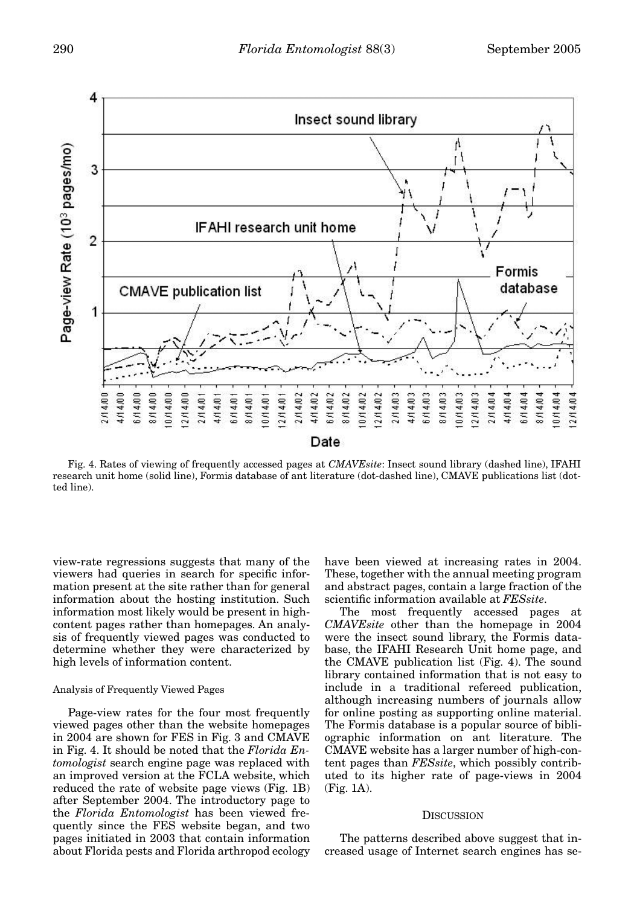

Fig. 4. Rates of viewing of frequently accessed pages at *CMAVEsite*: Insect sound library (dashed line), IFAHI research unit home (solid line), Formis database of ant literature (dot-dashed line), CMAVE publications list (dotted line).

view-rate regressions suggests that many of the viewers had queries in search for specific information present at the site rather than for general information about the hosting institution. Such information most likely would be present in highcontent pages rather than homepages. An analysis of frequently viewed pages was conducted to determine whether they were characterized by high levels of information content.

## Analysis of Frequently Viewed Pages

Page-view rates for the four most frequently viewed pages other than the website homepages in 2004 are shown for FES in Fig. 3 and CMAVE in Fig. 4. It should be noted that the *Florida Entomologist* search engine page was replaced with an improved version at the FCLA website, which reduced the rate of website page views (Fig. 1B) after September 2004. The introductory page to the *Florida Entomologist* has been viewed frequently since the FES website began, and two pages initiated in 2003 that contain information about Florida pests and Florida arthropod ecology have been viewed at increasing rates in 2004. These, together with the annual meeting program and abstract pages, contain a large fraction of the scientific information available at *FESsite*.

The most frequently accessed pages at *CMAVEsite* other than the homepage in 2004 were the insect sound library, the Formis database, the IFAHI Research Unit home page, and the CMAVE publication list (Fig. 4). The sound library contained information that is not easy to include in a traditional refereed publication, although increasing numbers of journals allow for online posting as supporting online material. The Formis database is a popular source of bibliographic information on ant literature. The CMAVE website has a larger number of high-content pages than *FESsite*, which possibly contributed to its higher rate of page-views in 2004 (Fig. 1A).

## **DISCUSSION**

The patterns described above suggest that increased usage of Internet search engines has se